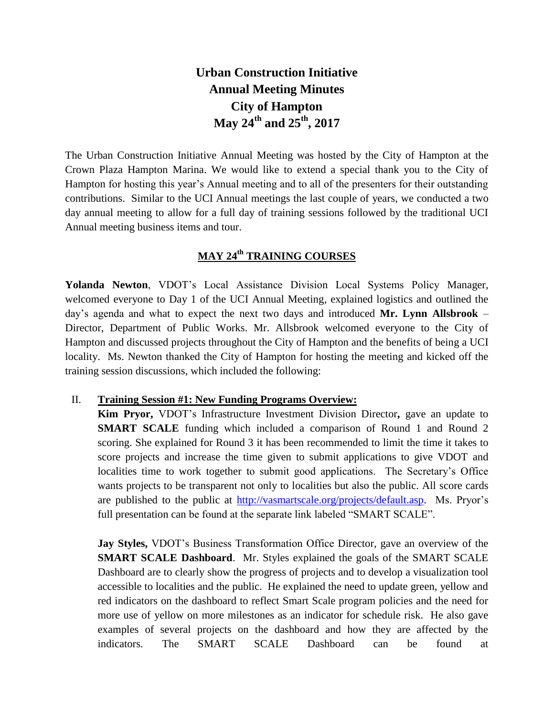# **Urban Construction Initiative Annual Meeting Minutes City of Hampton May 24 th and 25 th, 2017**

The Urban Construction Initiative Annual Meeting was hosted by the City of Hampton at the Crown Plaza Hampton Marina. We would like to extend a special thank you to the City of Hampton for hosting this year's Annual meeting and to all of the presenters for their outstanding contributions. Similar to the UCI Annual meetings the last couple of years, we conducted a two day annual meeting to allow for a full day of training sessions followed by the traditional UCI Annual meeting business items and tour.

# **MAY 24 th TRAINING COURSES**

**Yolanda Newton**, VDOT's Local Assistance Division Local Systems Policy Manager, welcomed everyone to Day 1 of the UCI Annual Meeting, explained logistics and outlined the day's agenda and what to expect the next two days and introduced **Mr. Lynn Allsbrook** – Director, Department of Public Works. Mr. Allsbrook welcomed everyone to the City of Hampton and discussed projects throughout the City of Hampton and the benefits of being a UCI locality. Ms. Newton thanked the City of Hampton for hosting the meeting and kicked off the training session discussions, which included the following:

## II. **Training Session #1: New Funding Programs Overview:**

**Kim Pryor,** VDOT's Infrastructure Investment Division Director**,** gave an update to **SMART SCALE** funding which included a comparison of Round 1 and Round 2 scoring. She explained for Round 3 it has been recommended to limit the time it takes to score projects and increase the time given to submit applications to give VDOT and localities time to work together to submit good applications. The Secretary's Office wants projects to be transparent not only to localities but also the public. All score cards are published to the public at [http://vasmartscale.org/projects/default.asp.](http://vasmartscale.org/projects/default.asp) Ms. Pryor's full presentation can be found at the separate link labeled "SMART SCALE".

**Jay Styles,** VDOT's Business Transformation Office Director, gave an overview of the **SMART SCALE Dashboard**. Mr. Styles explained the goals of the SMART SCALE Dashboard are to clearly show the progress of projects and to develop a visualization tool accessible to localities and the public. He explained the need to update green, yellow and red indicators on the dashboard to reflect Smart Scale program policies and the need for more use of yellow on more milestones as an indicator for schedule risk. He also gave examples of several projects on the dashboard and how they are affected by the indicators. The SMART SCALE Dashboard can be found at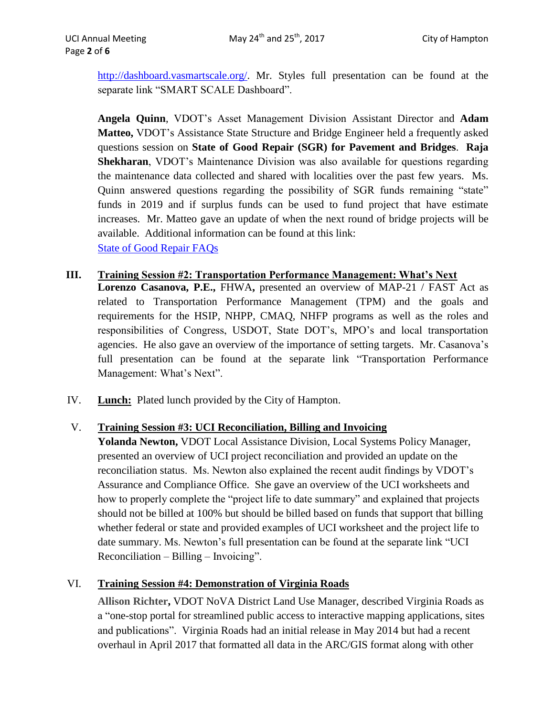[http://dashboard.vasmartscale.org/.](http://dashboard.vasmartscale.org/) Mr. Styles full presentation can be found at the separate link "SMART SCALE Dashboard".

**Angela Quinn**, VDOT's Asset Management Division Assistant Director and **Adam Matteo,** VDOT's Assistance State Structure and Bridge Engineer held a frequently asked questions session on **State of Good Repair (SGR) for Pavement and Bridges**. **Raja Shekharan**, VDOT's Maintenance Division was also available for questions regarding the maintenance data collected and shared with localities over the past few years. Ms. Quinn answered questions regarding the possibility of SGR funds remaining "state" funds in 2019 and if surplus funds can be used to fund project that have estimate increases. Mr. Matteo gave an update of when the next round of bridge projects will be available. Additional information can be found at this link: [State of Good Repair FAQs](https://insidevdot.cov.virginia.gov/div/opd/CYNL4/Shared%20Documents/State%20of%20Good%20Repair%20Frequently%20Asked%20Questions.pdf)

#### **III. Training Session #2: Transportation Performance Management: What's Next Lorenzo Casanova, P.E.,** FHWA**,** presented an overview of MAP-21 / FAST Act as

related to Transportation Performance Management (TPM) and the goals and requirements for the HSIP, NHPP, CMAQ, NHFP programs as well as the roles and responsibilities of Congress, USDOT, State DOT's, MPO's and local transportation agencies. He also gave an overview of the importance of setting targets. Mr. Casanova's full presentation can be found at the separate link "Transportation Performance Management: What's Next".

IV. **Lunch:** Plated lunch provided by the City of Hampton.

## V. **Training Session #3: UCI Reconciliation, Billing and Invoicing**

**Yolanda Newton,** VDOT Local Assistance Division, Local Systems Policy Manager, presented an overview of UCI project reconciliation and provided an update on the reconciliation status. Ms. Newton also explained the recent audit findings by VDOT's Assurance and Compliance Office. She gave an overview of the UCI worksheets and how to properly complete the "project life to date summary" and explained that projects should not be billed at 100% but should be billed based on funds that support that billing whether federal or state and provided examples of UCI worksheet and the project life to date summary. Ms. Newton's full presentation can be found at the separate link "UCI Reconciliation – Billing – Invoicing".

## VI. **Training Session #4: Demonstration of Virginia Roads**

**Allison Richter,** VDOT NoVA District Land Use Manager, described Virginia Roads as a "one-stop portal for streamlined public access to interactive mapping applications, sites and publications". Virginia Roads had an initial release in May 2014 but had a recent overhaul in April 2017 that formatted all data in the ARC/GIS format along with other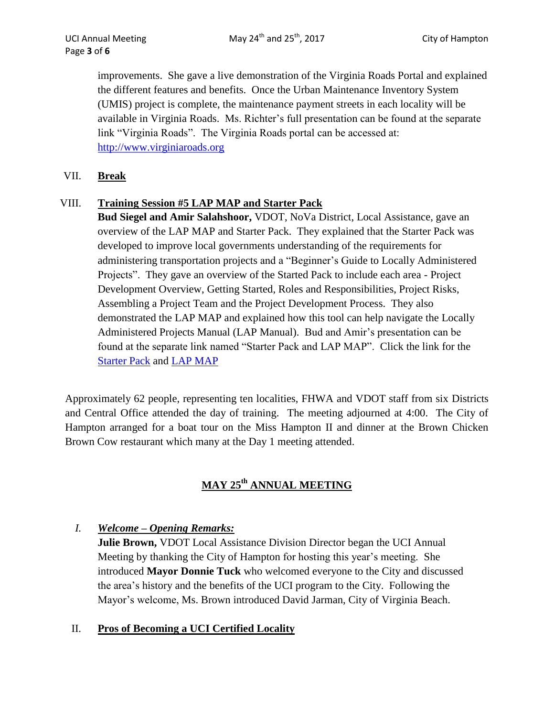improvements. She gave a live demonstration of the Virginia Roads Portal and explained the different features and benefits. Once the Urban Maintenance Inventory System (UMIS) project is complete, the maintenance payment streets in each locality will be available in Virginia Roads. Ms. Richter's full presentation can be found at the separate link "Virginia Roads". The Virginia Roads portal can be accessed at: [http://www.virginiaroads.org](http://www.virginiaroads.org/)

## VII. **Break**

## VIII. **Training Session #5 LAP MAP and Starter Pack**

**Bud Siegel and Amir Salahshoor,** VDOT, NoVa District, Local Assistance, gave an overview of the LAP MAP and Starter Pack. They explained that the Starter Pack was developed to improve local governments understanding of the requirements for administering transportation projects and a "Beginner's Guide to Locally Administered Projects". They gave an overview of the Started Pack to include each area - Project Development Overview, Getting Started, Roles and Responsibilities, Project Risks, Assembling a Project Team and the Project Development Process. They also demonstrated the LAP MAP and explained how this tool can help navigate the Locally Administered Projects Manual (LAP Manual). Bud and Amir's presentation can be found at the separate link named "Starter Pack and LAP MAP". Click the link for the [Starter Pack](http://www.virginiadot.org/business/resources/local_assistance/LAPStarterPack.pdf) and [LAP MAP](http://www.virginiadot.org/business/resources/local_assistance/LAD_LAP_manual_final/Project_Selector/Project_Selector.xlsx)

Approximately 62 people, representing ten localities, FHWA and VDOT staff from six Districts and Central Office attended the day of training. The meeting adjourned at 4:00. The City of Hampton arranged for a boat tour on the Miss Hampton II and dinner at the Brown Chicken Brown Cow restaurant which many at the Day 1 meeting attended.

# **MAY 25 th ANNUAL MEETING**

# *I. Welcome – Opening Remarks:*

**Julie Brown,** VDOT Local Assistance Division Director began the UCI Annual Meeting by thanking the City of Hampton for hosting this year's meeting. She introduced **Mayor Donnie Tuck** who welcomed everyone to the City and discussed the area's history and the benefits of the UCI program to the City. Following the Mayor's welcome, Ms. Brown introduced David Jarman, City of Virginia Beach.

## II. **Pros of Becoming a UCI Certified Locality**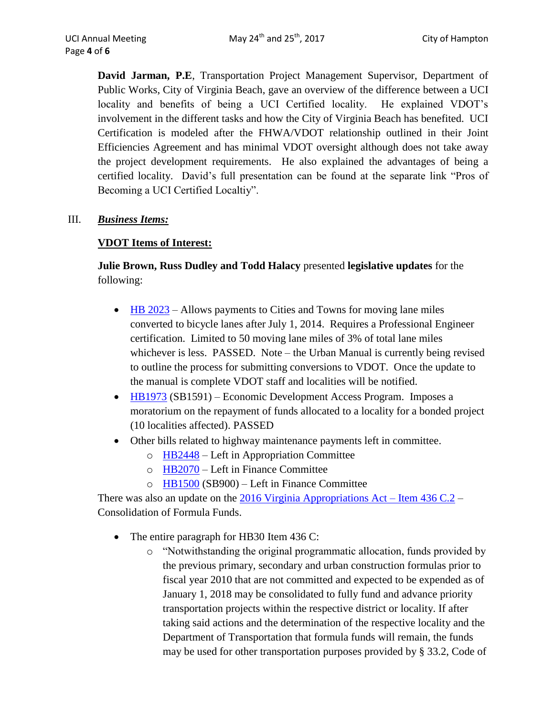**David Jarman, P.E**, Transportation Project Management Supervisor, Department of Public Works, City of Virginia Beach, gave an overview of the difference between a UCI locality and benefits of being a UCI Certified locality. He explained VDOT's involvement in the different tasks and how the City of Virginia Beach has benefited. UCI Certification is modeled after the FHWA/VDOT relationship outlined in their Joint Efficiencies Agreement and has minimal VDOT oversight although does not take away the project development requirements. He also explained the advantages of being a certified locality. David's full presentation can be found at the separate link "Pros of Becoming a UCI Certified Localtiy".

## III. *Business Items:*

## **VDOT Items of Interest:**

**Julie Brown, Russ Dudley and Todd Halacy** presented **legislative updates** for the following:

- [HB 2023](http://lis.virginia.gov/cgi-bin/legp604.exe?171+sum+HB2023) Allows payments to Cities and Towns for moving lane miles converted to bicycle lanes after July 1, 2014. Requires a Professional Engineer certification. Limited to 50 moving lane miles of 3% of total lane miles whichever is less. PASSED. Note – the Urban Manual is currently being revised to outline the process for submitting conversions to VDOT. Once the update to the manual is complete VDOT staff and localities will be notified.
- [HB1973](http://lis.virginia.gov/cgi-bin/legp604.exe?171+sum+HB1973) (SB1591) Economic Development Access Program. Imposes a moratorium on the repayment of funds allocated to a locality for a bonded project (10 localities affected). PASSED
- Other bills related to highway maintenance payments left in committee.
	- o [HB2448](http://lis.virginia.gov/cgi-bin/legp604.exe?171+sum+HB2448) Left in Appropriation Committee
	- o [HB2070](http://lis.virginia.gov/cgi-bin/legp604.exe?171+sum+HB2070) Left in Finance Committee
	- o [HB1500](http://lis.virginia.gov/cgi-bin/legp604.exe?171+sum+HB1500) (SB900) Left in Finance Committee

There was also an update on the [2016 Virginia Appropriations Act –](https://budget.lis.virginia.gov/item/2016/1/HB30/Introduced/1/436/) Item  $436 C.2 -$ Consolidation of Formula Funds.

- The entire paragraph for HB30 Item 436 C:
	- o "Notwithstanding the original programmatic allocation, funds provided by the previous primary, secondary and urban construction formulas prior to fiscal year 2010 that are not committed and expected to be expended as of January 1, 2018 may be consolidated to fully fund and advance priority transportation projects within the respective district or locality. If after taking said actions and the determination of the respective locality and the Department of Transportation that formula funds will remain, the funds may be used for other transportation purposes provided by § 33.2, Code of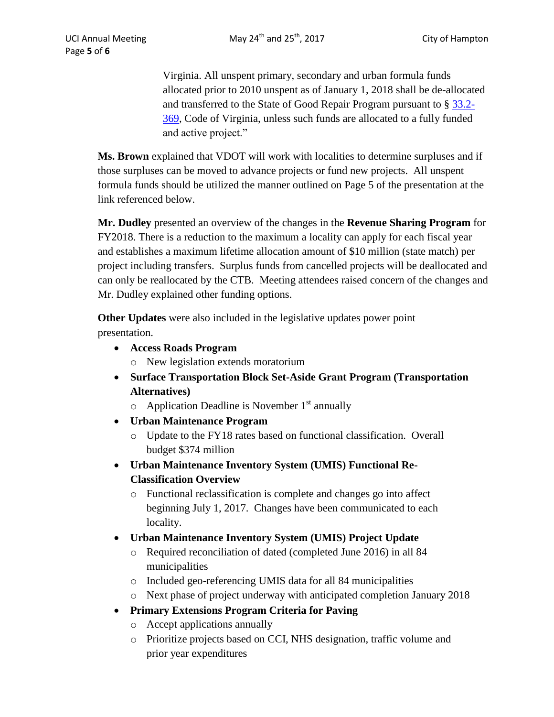Virginia. All unspent primary, secondary and urban formula funds allocated prior to 2010 unspent as of January 1, 2018 shall be de-allocated and transferred to the State of Good Repair Program pursuant to § [33.2-](http://law.lis.virginia.gov/vacode/33.2-369/) [369,](http://law.lis.virginia.gov/vacode/33.2-369/) Code of Virginia, unless such funds are allocated to a fully funded and active project."

**Ms. Brown** explained that VDOT will work with localities to determine surpluses and if those surpluses can be moved to advance projects or fund new projects. All unspent formula funds should be utilized the manner outlined on Page 5 of the presentation at the link referenced below.

**Mr. Dudley** presented an overview of the changes in the **Revenue Sharing Program** for FY2018. There is a reduction to the maximum a locality can apply for each fiscal year and establishes a maximum lifetime allocation amount of \$10 million (state match) per project including transfers. Surplus funds from cancelled projects will be deallocated and can only be reallocated by the CTB. Meeting attendees raised concern of the changes and Mr. Dudley explained other funding options.

**Other Updates** were also included in the legislative updates power point presentation.

- **Access Roads Program** 
	- o New legislation extends moratorium
- **Surface Transportation Block Set-Aside Grant Program (Transportation Alternatives)** 
	- $\circ$  Application Deadline is November 1<sup>st</sup> annually
- **Urban Maintenance Program** 
	- o Update to the FY18 rates based on functional classification. Overall budget \$374 million
- **Urban Maintenance Inventory System (UMIS) Functional Re-Classification Overview**
	- o Functional reclassification is complete and changes go into affect beginning July 1, 2017. Changes have been communicated to each locality.
- **Urban Maintenance Inventory System (UMIS) Project Update**
	- o Required reconciliation of dated (completed June 2016) in all 84 municipalities
	- o Included geo-referencing UMIS data for all 84 municipalities
	- o Next phase of project underway with anticipated completion January 2018
- **Primary Extensions Program Criteria for Paving**
	- o Accept applications annually
	- o Prioritize projects based on CCI, NHS designation, traffic volume and prior year expenditures